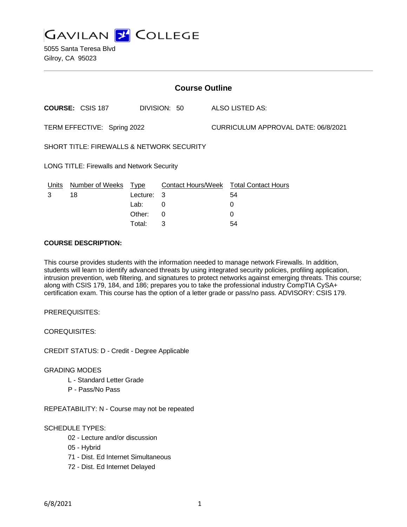

5055 Santa Teresa Blvd Gilroy, CA 95023

| <b>Course Outline</b>                                |                         |          |              |  |                                        |  |
|------------------------------------------------------|-------------------------|----------|--------------|--|----------------------------------------|--|
|                                                      | <b>COURSE: CSIS 187</b> |          | DIVISION: 50 |  | ALSO LISTED AS:                        |  |
| TERM EFFECTIVE: Spring 2022                          |                         |          |              |  | CURRICULUM APPROVAL DATE: 06/8/2021    |  |
| <b>SHORT TITLE: FIREWALLS &amp; NETWORK SECURITY</b> |                         |          |              |  |                                        |  |
| <b>LONG TITLE: Firewalls and Network Security</b>    |                         |          |              |  |                                        |  |
| <u>Units</u>                                         | Number of Weeks Type    |          |              |  | Contact Hours/Week Total Contact Hours |  |
| 3                                                    | 18                      | Lecture: | -3           |  | 54                                     |  |
|                                                      |                         | Lab:     | 0            |  | 0                                      |  |
|                                                      |                         | Other:   | 0            |  | 0                                      |  |
|                                                      |                         | Total:   | 3            |  | 54                                     |  |

## **COURSE DESCRIPTION:**

This course provides students with the information needed to manage network Firewalls. In addition, students will learn to identify advanced threats by using integrated security policies, profiling application, intrusion prevention, web filtering, and signatures to protect networks against emerging threats. This course; along with CSIS 179, 184, and 186; prepares you to take the professional industry CompTIA CySA+ certification exam. This course has the option of a letter grade or pass/no pass. ADVISORY: CSIS 179.

PREREQUISITES:

COREQUISITES:

CREDIT STATUS: D - Credit - Degree Applicable

### GRADING MODES

- L Standard Letter Grade
- P Pass/No Pass

REPEATABILITY: N - Course may not be repeated

## SCHEDULE TYPES:

- 02 Lecture and/or discussion
- 05 Hybrid
- 71 Dist. Ed Internet Simultaneous
- 72 Dist. Ed Internet Delayed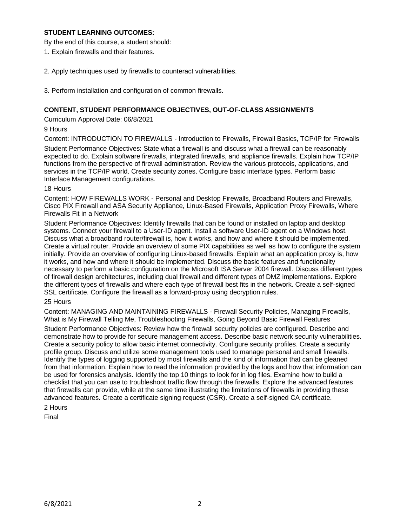## **STUDENT LEARNING OUTCOMES:**

By the end of this course, a student should:

- 1. Explain firewalls and their features.
- 2. Apply techniques used by firewalls to counteract vulnerabilities.
- 3. Perform installation and configuration of common firewalls.

## **CONTENT, STUDENT PERFORMANCE OBJECTIVES, OUT-OF-CLASS ASSIGNMENTS**

Curriculum Approval Date: 06/8/2021

9 Hours

Content: INTRODUCTION TO FIREWALLS - Introduction to Firewalls, Firewall Basics, TCP/IP for Firewalls Student Performance Objectives: State what a firewall is and discuss what a firewall can be reasonably expected to do. Explain software firewalls, integrated firewalls, and appliance firewalls. Explain how TCP/IP functions from the perspective of firewall administration. Review the various protocols, applications, and services in the TCP/IP world. Create security zones. Configure basic interface types. Perform basic Interface Management configurations.

### 18 Hours

Content: HOW FIREWALLS WORK - Personal and Desktop Firewalls, Broadband Routers and Firewalls, Cisco PIX Firewall and ASA Security Appliance, Linux-Based Firewalls, Application Proxy Firewalls, Where Firewalls Fit in a Network

Student Performance Objectives: Identify firewalls that can be found or installed on laptop and desktop systems. Connect your firewall to a User-ID agent. Install a software User-ID agent on a Windows host. Discuss what a broadband router/firewall is, how it works, and how and where it should be implemented. Create a virtual router. Provide an overview of some PIX capabilities as well as how to configure the system initially. Provide an overview of configuring Linux-based firewalls. Explain what an application proxy is, how it works, and how and where it should be implemented. Discuss the basic features and functionality necessary to perform a basic configuration on the Microsoft ISA Server 2004 firewall. Discuss different types of firewall design architectures, including dual firewall and different types of DMZ implementations. Explore the different types of firewalls and where each type of firewall best fits in the network. Create a self-signed SSL certificate. Configure the firewall as a forward-proxy using decryption rules.

### 25 Hours

Content: MANAGING AND MAINTAINING FIREWALLS - Firewall Security Policies, Managing Firewalls, What is My Firewall Telling Me, Troubleshooting Firewalls, Going Beyond Basic Firewall Features

Student Performance Objectives: Review how the firewall security policies are configured. Describe and demonstrate how to provide for secure management access. Describe basic network security vulnerabilities. Create a security policy to allow basic internet connectivity. Configure security profiles. Create a security profile group. Discuss and utilize some management tools used to manage personal and small firewalls. Identify the types of logging supported by most firewalls and the kind of information that can be gleaned from that information. Explain how to read the information provided by the logs and how that information can be used for forensics analysis. Identify the top 10 things to look for in log files. Examine how to build a checklist that you can use to troubleshoot traffic flow through the firewalls. Explore the advanced features that firewalls can provide, while at the same time illustrating the limitations of firewalls in providing these advanced features. Create a certificate signing request (CSR). Create a self-signed CA certificate.

# 2 Hours

Final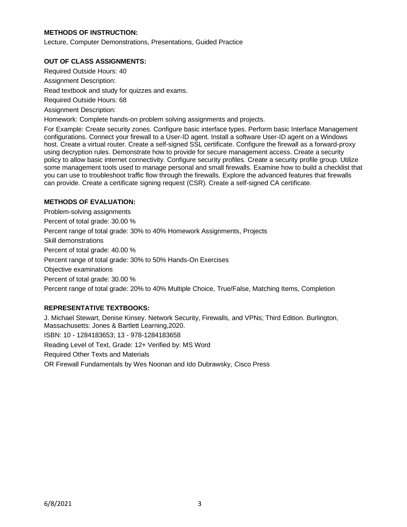# **METHODS OF INSTRUCTION:**

Lecture, Computer Demonstrations, Presentations, Guided Practice

## **OUT OF CLASS ASSIGNMENTS:**

Required Outside Hours: 40 Assignment Description: Read textbook and study for quizzes and exams. Required Outside Hours: 68 Assignment Description: Homework: Complete hands-on problem solving assignments and projects.

For Example: Create security zones. Configure basic interface types. Perform basic Interface Management configurations. Connect your firewall to a User-ID agent. Install a software User-ID agent on a Windows host. Create a virtual router. Create a self-signed SSL certificate. Configure the firewall as a forward-proxy using decryption rules. Demonstrate how to provide for secure management access. Create a security policy to allow basic internet connectivity. Configure security profiles. Create a security profile group. Utilize some management tools used to manage personal and small firewalls. Examine how to build a checklist that you can use to troubleshoot traffic flow through the firewalls. Explore the advanced features that firewalls can provide. Create a certificate signing request (CSR). Create a self-signed CA certificate.

## **METHODS OF EVALUATION:**

Problem-solving assignments Percent of total grade: 30.00 % Percent range of total grade: 30% to 40% Homework Assignments, Projects Skill demonstrations Percent of total grade: 40.00 % Percent range of total grade: 30% to 50% Hands-On Exercises Objective examinations Percent of total grade: 30.00 % Percent range of total grade: 20% to 40% Multiple Choice, True/False, Matching Items, Completion

## **REPRESENTATIVE TEXTBOOKS:**

J. Michael Stewart, Denise Kinsey. Network Security, Firewalls, and VPNs; Third Edition. Burlington, Massachusetts: Jones & Bartlett Learning,2020. ISBN: 10 - 1284183653; 13 - 978-1284183658 Reading Level of Text, Grade: 12+ Verified by: MS Word Required Other Texts and Materials OR Firewall Fundamentals by Wes Noonan and Ido Dubrawsky, Cisco Press